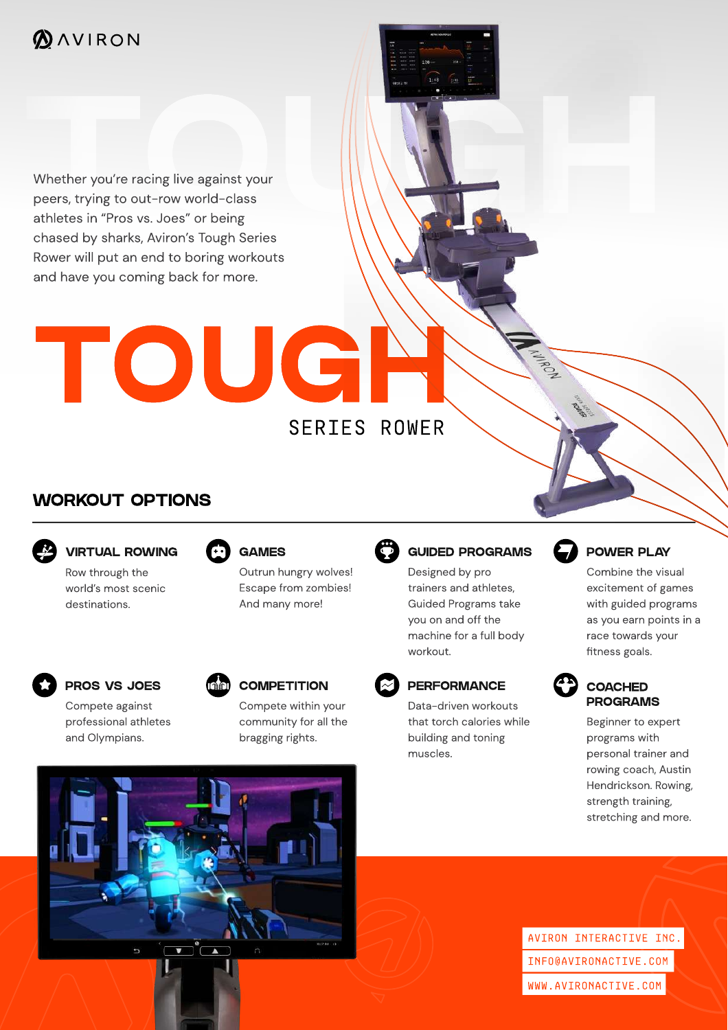Whether you're racing live against your<br>peers, trying to out-row world-class Whether you're racing live against your peers, trying to out-row world-class athletes in "Pros vs. Joes" or being chased by sharks, Aviron's Tough Series Rower will put an end to boring workouts and have you coming back for more.

# TOUGH SERIES ROWER

# WORKOUT OPTIONS



VIRTUAL ROWING





# GAMES

Outrun hungry wolves! Escape from zombies! And many more!



# PROS VS JOES

Compete against professional athletes and Olympians.



bragging rights.

community for all the

**PERFORMANCE** 

Data-driven workouts that torch calories while building and toning muscles.

GUIDED PROGRAMS

Designed by pro trainers and athletes, Guided Programs take you on and off the machine for a full body

workout.



# POWER PLAY

Combine the visual excitement of games with guided programs as you earn points in a race towards your fitness goals.



### **COACHED** PROGRAMS

Beginner to expert programs with personal trainer and rowing coach, Austin Hendrickson. Rowing, strength training, stretching and more.